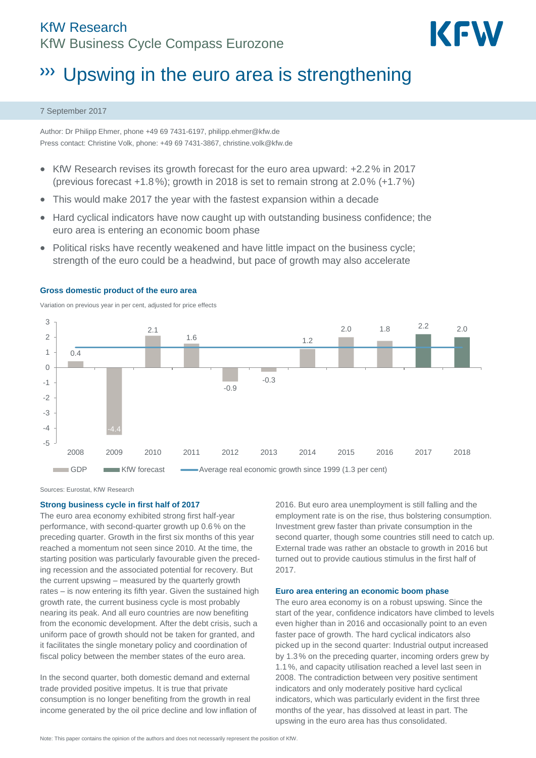# KfW Research KfW Business Cycle Compass Eurozone



# **W** Upswing in the euro area is strengthening

#### 7 September 2017

Author: Dr Philipp Ehmer, phone +49 69 7431-6197[, philipp.ehmer@kfw.de](mailto:philipp.ehmer@kfw.de) Press contact: Christine Volk, phone: +49 69 7431-3867[, christine.volk@kfw.de](mailto:christine.volk@kfw.de)

- $\bullet$  KfW Research revises its growth forecast for the euro area upward:  $+2.2\%$  in 2017 (previous forecast +1.8%); growth in 2018 is set to remain strong at 2.0% (+1.7%)
- This would make 2017 the year with the fastest expansion within a decade
- Hard cyclical indicators have now caught up with outstanding business confidence; the euro area is entering an economic boom phase
- Political risks have recently weakened and have little impact on the business cycle; strength of the euro could be a headwind, but pace of growth may also accelerate



## **Gross domestic product of the euro area**

Variation on previous year in per cent, adjusted for price effects

Sources: Eurostat, KfW Research

#### **Strong business cycle in first half of 2017**

The euro area economy exhibited strong first half-year performance, with second-quarter growth up 0.6 % on the preceding quarter. Growth in the first six months of this year reached a momentum not seen since 2010. At the time, the starting position was particularly favourable given the preceding recession and the associated potential for recovery. But the current upswing – measured by the quarterly growth rates – is now entering its fifth year. Given the sustained high growth rate, the current business cycle is most probably nearing its peak. And all euro countries are now benefiting from the economic development. After the debt crisis, such a uniform pace of growth should not be taken for granted, and it facilitates the single monetary policy and coordination of fiscal policy between the member states of the euro area.

In the second quarter, both domestic demand and external trade provided positive impetus. It is true that private consumption is no longer benefiting from the growth in real income generated by the oil price decline and low inflation of 2016. But euro area unemployment is still falling and the employment rate is on the rise, thus bolstering consumption. Investment grew faster than private consumption in the second quarter, though some countries still need to catch up. External trade was rather an obstacle to growth in 2016 but turned out to provide cautious stimulus in the first half of 2017.

#### **Euro area entering an economic boom phase**

The euro area economy is on a robust upswing. Since the start of the year, confidence indicators have climbed to levels even higher than in 2016 and occasionally point to an even faster pace of growth. The hard cyclical indicators also picked up in the second quarter: Industrial output increased by 1.3% on the preceding quarter, incoming orders grew by 1.1%, and capacity utilisation reached a level last seen in 2008. The contradiction between very positive sentiment indicators and only moderately positive hard cyclical indicators, which was particularly evident in the first three months of the year, has dissolved at least in part. The upswing in the euro area has thus consolidated.